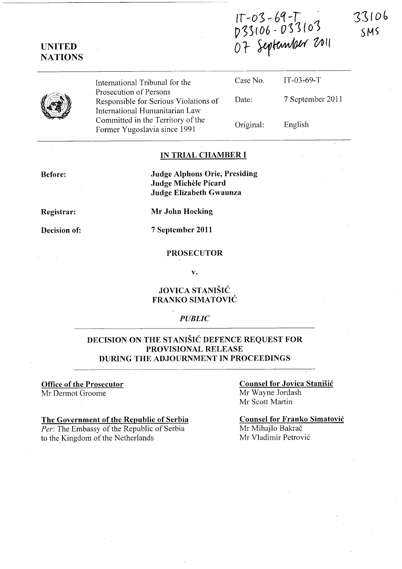IT-03-69-T<br>D33106-033103<br>O7 September 2011

33106  $SMS$ 



UNITED **NATIONS** 

> International Tribunal for the Prosecution of Persons Responsible for Serious Violations of International Humanitarian Law Committed in the Territory of the Former Yugoslavia since 1991

Case No. Date: Original: IT-03-69-T 7 September 2011 English

#### IN TRIAL CHAMBER I

Before:

Judge Alphons Orie, Presiding Judge Michele Picard Judge Elizabeth Gwaunza

Registrar:

Decision of:

Mr John Hocking

7 September 2011

#### PROSECUTOR

v.

### JOVICA STANISIC FRANKO SIMATOVIC

#### *PUBLIC*

## DECISION ON THE STANISIC DEFENCE REQUEST FOR PROVISIONAL RELEASE DURING THE ADJOURNMENT IN PROCEEDINGS

#### Office of the Prosecutor Mr Dermot Groome

## The Government of the Republic of Serbia *Per:* The Embassy of the Republic of Serbia

to the Kingdom of the Netherlands

Counsel for Jovica Stanisic Mr Wayne Jordash Mr Scott Martin

Counsel for Franko Simatovic Mr Mihajlo Bakrač Mr Vladimir Petrovi6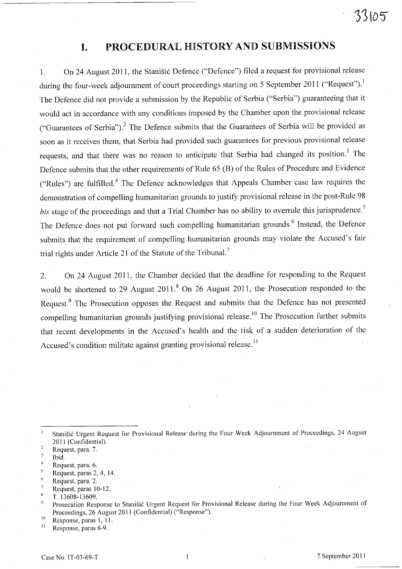# 33105

## **I.** PROCEDURAL HISTORY AND SUBMISSIONS

1. On 24 August 2011, the Stanisic Defence ("Defence") filed a request for provisional release during the four-week adjournment of court proceedings starting on 5 September 2011 ("Request").<sup>1</sup> The Defence did not provide a submission by the Republic of Serbia ("Serbia") guaranteeing that it would act in accordance with any conditions imposed by the Chamber upon the provisional release ("Guarantees of Serbia").<sup>2</sup> The Defence submits that the Guarantees of Serbia will be provided as soon as it receives them, that Serbia had provided such guarantees for previous provisional release requests, and that there was no reason to anticipate that Serbia had changed its position? The Defence submits that the other requirements of Rule 65 (B) of the Rules of Procedure and Evidence ("Rules") are fulfilled.<sup>4</sup> The Defence acknowledges that Appeals Chamber case law requires the demonstration of compelling humanitarian grounds to justify provisional release in the post-Rule 98 *bis* stage of the proceedings and that a Trial Chamber has no ability to overrule this jurisprudence.<sup>5</sup> The Defence does not put forward such compelling humanitarian grounds.<sup>6</sup> Instead, the Defence submits that the requirement of compelling humanitarian grounds may violate the Accused's fair trial rights under Article 21 of the Statute of the Tribunal.<sup>7</sup>

2. On 24 August 2011, the Chamber decided that the deadline for responding to the Request would be shortened to 29 August 2011.<sup>8</sup> On 26 August 2011, the Prosecution responded to the Request.<sup>9</sup> The Prosecution opposes the Request and submits that the Defence has not presented compelling humanitarian grounds justifying provisional release.<sup>10</sup> The Prosecution further submits that recent developments in the Accused's health and the risk of a sudden deterioration of the Accused's condition militate against granting provisional release.<sup>11</sup>

- $\overline{2}$ Request, para. 7.
- $\overline{\mathbf{3}}$ Ibid.

5 Request, paras 2, 4, 14.

 $\overline{7}$ Request, paras 10-12.

Stanišić Urgent Request for Provisional Release during the Four Week Adjournment of Proceedings, 24 August 2011 (Confidential).

 $\overline{4}$ Request, para. 6.

<sup>6</sup>  Request, para. 2.

 $\overline{\mathbf{8}}$ T.13608-13609.

 $\overline{9}$ Prosecution Response to Stanišić Urgent Request for Provisional Release during the Four Week Adjournment of Proceedings, 26 August 2011 (Confidential) ("Response").

 $^{10}$  Response, paras 1, 11.

Response, paras 6-9.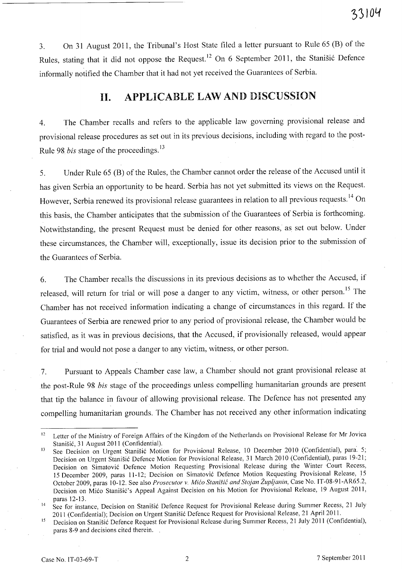3. On 31 August 2011, the Tribunal's Host State filed a letter pursuant to Rule 65 CB) of the Rules, stating that it did not oppose the Request.<sup>12</sup> On 6 September 2011, the Stanišić Defence informally notified the Chamber that it had not yet received the Guarantees of Serbia.

## **11.** APPLICABLE LAW AND DISCUSSION

4. The Chamber recalls and refers to the applicable law governing provisional release and provisional release procedures as set out in its previous decisions, including with regard to the post-Rule 98 *bis* stage of the proceedings. 13

5. Under Rule 65 (B) of the Rules, the Chamber cannot order the release of the Accused until it has given Serbia an opportunity to be heard. Serbia has not yet submitted its views on the Request. However, Serbia renewed its provisional release guarantees in relation to all previous requests.<sup>14</sup> On this basis, the Chamber anticipates that the submission of the Guarantees of Serbia is forthcoming. Notwithstanding, the present Request must be denied for other reasons, as set out below. Under these circumstances, the Chamber will, exceptionally, issue its decision prior to the submission of the Guarantees of Serbia.

6. The Chamber recalls the discussions in its previous decisions as to whether the Accused, if released, will return for trial or will pose a danger to any victim, witness, or other person.<sup>15</sup> The Chamber has not received information indicating a change of circumstances in this regard. If the Guarantees of Serbia are renewed prior to any period of provisional release, the Chamber would be satisfied, as it was in previous decisions, that the Accused, if provisionally released, would appear for trial and would not pose a danger to any victim, witness, or other person.

7. Pursuant to Appeals Chamber case law, a Chamber should not grant provisional release at the post-Rule 98 *bis* stage of the proceedings unless compelling humanitarian grounds are present that tip the balance in favour of allowing provisional release. The Defence has not presented any compelling humanitarian grounds. The Chamber has not received any other information indicating

<sup>&</sup>lt;sup>12</sup> Letter of the Ministry of Foreign Affairs of the Kingdom of the Netherlands on Provisional Release for Mr Jovica Stanisic, 31 August 2011 (Confidential).

<sup>&</sup>lt;sup>13</sup> See Decision on Urgent Stanišić Motion for Provisional Release, 10 December 2010 (Confidential), para. 5; Decision on Urgent Stanisic Defence Motion for Provisional Release, 31 March 2010 (Confidential), paras 19-21; Decision on Simatovic Defence Motion Requesting Provisional Release during the Winter Court Recess, *IS* December 2009, paras 11-12; Decision on Simatovic Defence Motion Requesting Provisional Release, *IS*  October 2009, paras 10-12. See also *Prosecutor* v. *Mico Stanisic and Stojan Zupljanin,* Case No. IT-08-91-AR6S.2, Decision on Mico Stanisic's Appeal Against Decision on his Motion for Provisional Release, 19 August 2011, paras 12-13.

See for instance, Decision on Stanišić Defence Request for Provisional Release during Summer Recess, 21 July 2011 (Confidential); Decision on Urgent Stanisic Defence Request for Provisional Release, 21 April 2011.

<sup>&</sup>lt;sup>15</sup> Decision on Stanišić Defence Request for Provisional Release during Summer Recess, 21 July 2011 (Confidential), paras 8-9 and decisions cited therein.